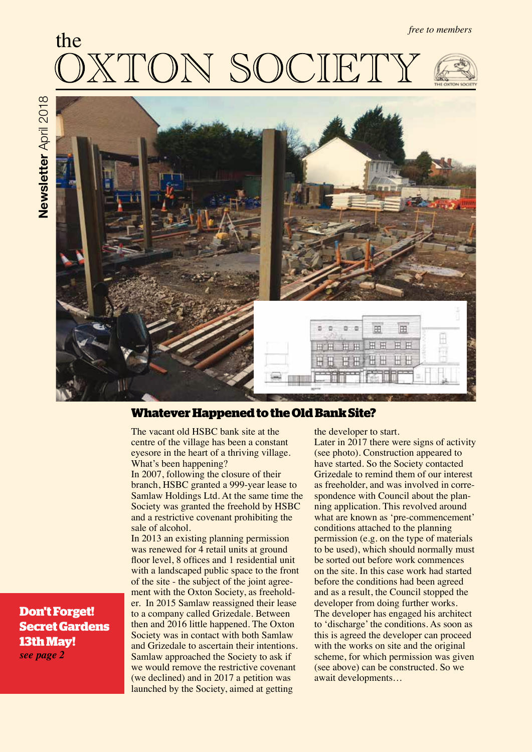# the *free to members*



# **Whatever Happened to the Old Bank Site?**

The vacant old HSBC bank site at the centre of the village has been a constant eyesore in the heart of a thriving village. What's been happening?

In 2007, following the closure of their branch, HSBC granted a 999-year lease to Samlaw Holdings Ltd. At the same time the Society was granted the freehold by HSBC and a restrictive covenant prohibiting the sale of alcohol.

In 2013 an existing planning permission was renewed for 4 retail units at ground floor level, 8 offices and 1 residential unit with a landscaped public space to the front of the site - the subject of the joint agreement with the Oxton Society, as freeholder. In 2015 Samlaw reassigned their lease to a company called Grizedale. Between then and 2016 little happened. The Oxton Society was in contact with both Samlaw and Grizedale to ascertain their intentions. Samlaw approached the Society to ask if we would remove the restrictive covenant (we declined) and in 2017 a petition was launched by the Society, aimed at getting

the developer to start. Later in 2017 there were signs of activity (see photo). Construction appeared to have started. So the Society contacted Grizedale to remind them of our interest as freeholder, and was involved in correspondence with Council about the planning application. This revolved around what are known as 'pre-commencement' conditions attached to the planning permission (e.g. on the type of materials to be used), which should normally must be sorted out before work commences on the site. In this case work had started before the conditions had been agreed and as a result, the Council stopped the developer from doing further works. The developer has engaged his architect to 'discharge' the conditions. As soon as this is agreed the developer can proceed with the works on site and the original scheme, for which permission was given (see above) can be constructed. So we await developments…

**Don't Forget! Secret Gardens 13th May!** *see page 2*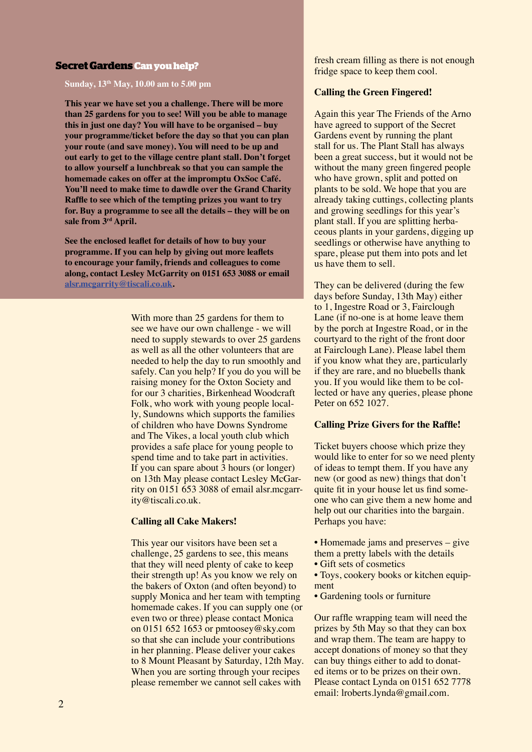#### **Secret Gardens Can you help?**

**Sunday, 13th May, 10.00 am to 5.00 pm**

**This year we have set you a challenge. There will be more than 25 gardens for you to see! Will you be able to manage this in just one day? You will have to be organised – buy your programme/ticket before the day so that you can plan your route (and save money). You will need to be up and out early to get to the village centre plant stall. Don't forget to allow yourself a lunchbreak so that you can sample the homemade cakes on offer at the impromptu OxSoc Café. You'll need to make time to dawdle over the Grand Charity Raffle to see which of the tempting prizes you want to try for. Buy a programme to see all the details – they will be on sale from 3rd April.** 

**See the enclosed leaflet for details of how to buy your programme. If you can help by giving out more leaflets to encourage your family, friends and colleagues to come along, contact Lesley McGarrity on 0151 653 3088 or email alsr.mcgarrity@tiscali.co.uk.** 

> With more than 25 gardens for them to see we have our own challenge - we will need to supply stewards to over 25 gardens as well as all the other volunteers that are needed to help the day to run smoothly and safely. Can you help? If you do you will be raising money for the Oxton Society and for our 3 charities, Birkenhead Woodcraft Folk, who work with young people locally, Sundowns which supports the families of children who have Downs Syndrome and The Vikes, a local youth club which provides a safe place for young people to spend time and to take part in activities. If you can spare about 3 hours (or longer) on 13th May please contact Lesley McGarrity on 0151 653 3088 of email alsr.mcgarrity@tiscali.co.uk.

#### **Calling all Cake Makers!**

This year our visitors have been set a challenge, 25 gardens to see, this means that they will need plenty of cake to keep their strength up! As you know we rely on the bakers of Oxton (and often beyond) to supply Monica and her team with tempting homemade cakes. If you can supply one (or even two or three) please contact Monica on 0151 652 1653 or pmtoosey@sky.com so that she can include your contributions in her planning. Please deliver your cakes to 8 Mount Pleasant by Saturday, 12th May. When you are sorting through your recipes please remember we cannot sell cakes with

fresh cream filling as there is not enough fridge space to keep them cool.

#### **Calling the Green Fingered!**

Again this year The Friends of the Arno have agreed to support of the Secret Gardens event by running the plant stall for us. The Plant Stall has always been a great success, but it would not be without the many green fingered people who have grown, split and potted on plants to be sold. We hope that you are already taking cuttings, collecting plants and growing seedlings for this year's plant stall. If you are splitting herbaceous plants in your gardens, digging up seedlings or otherwise have anything to spare, please put them into pots and let us have them to sell.

They can be delivered (during the few days before Sunday, 13th May) either to 1, Ingestre Road or 3, Fairclough Lane (if no-one is at home leave them by the porch at Ingestre Road, or in the courtyard to the right of the front door at Fairclough Lane). Please label them if you know what they are, particularly if they are rare, and no bluebells thank you. If you would like them to be collected or have any queries, please phone Peter on 652 1027.

#### **Calling Prize Givers for the Raffle!**

Ticket buyers choose which prize they would like to enter for so we need plenty of ideas to tempt them. If you have any new (or good as new) things that don't quite fit in your house let us find someone who can give them a new home and help out our charities into the bargain. Perhaps you have:

- Homemade jams and preserves give them a pretty labels with the details • Gift sets of cosmetics
- Toys, cookery books or kitchen equipment
- Gardening tools or furniture

Our raffle wrapping team will need the prizes by 5th May so that they can box and wrap them. The team are happy to accept donations of money so that they can buy things either to add to donated items or to be prizes on their own. Please contact Lynda on 0151 652 7778 email: lroberts.lynda@gmail.com.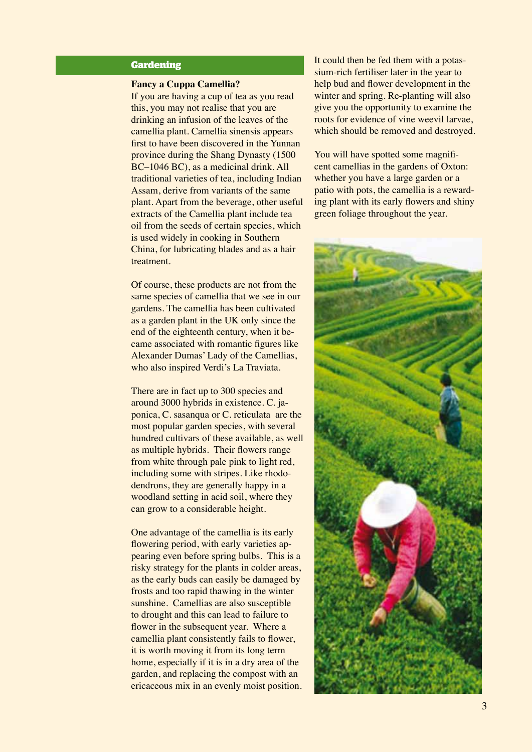# **Gardening**

#### **Fancy a Cuppa Camellia?**

If you are having a cup of tea as you read this, you may not realise that you are drinking an infusion of the leaves of the camellia plant. Camellia sinensis appears first to have been discovered in the Yunnan province during the Shang Dynasty (1500 BC–1046 BC), as a medicinal drink. All traditional varieties of tea, including Indian Assam, derive from variants of the same plant. Apart from the beverage, other useful extracts of the Camellia plant include tea oil from the seeds of certain species, which is used widely in cooking in Southern China, for lubricating blades and as a hair treatment.

Of course, these products are not from the same species of camellia that we see in our gardens. The camellia has been cultivated as a garden plant in the UK only since the end of the eighteenth century, when it became associated with romantic figures like Alexander Dumas' Lady of the Camellias, who also inspired Verdi's La Traviata.

There are in fact up to 300 species and around 3000 hybrids in existence. C. japonica, C. sasanqua or C. reticulata are the most popular garden species, with several hundred cultivars of these available, as well as multiple hybrids. Their flowers range from white through pale pink to light red, including some with stripes. Like rhododendrons, they are generally happy in a woodland setting in acid soil, where they can grow to a considerable height.

One advantage of the camellia is its early flowering period, with early varieties appearing even before spring bulbs. This is a risky strategy for the plants in colder areas, as the early buds can easily be damaged by frosts and too rapid thawing in the winter sunshine. Camellias are also susceptible to drought and this can lead to failure to flower in the subsequent year. Where a camellia plant consistently fails to flower, it is worth moving it from its long term home, especially if it is in a dry area of the garden, and replacing the compost with an ericaceous mix in an evenly moist position. It could then be fed them with a potassium-rich fertiliser later in the year to help bud and flower development in the winter and spring. Re-planting will also give you the opportunity to examine the roots for evidence of vine weevil larvae, which should be removed and destroyed.

You will have spotted some magnificent camellias in the gardens of Oxton: whether you have a large garden or a patio with pots, the camellia is a rewarding plant with its early flowers and shiny green foliage throughout the year.

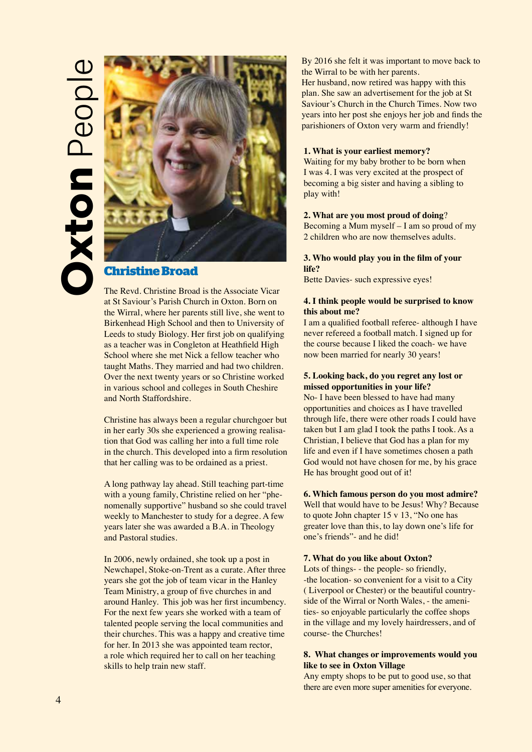# **Oxton** People **CODO Peop**



# **Christine Broad**

The Revd. Christine Broad is the Associate Vicar at St Saviour's Parish Church in Oxton. Born on the Wirral, where her parents still live, she went to Birkenhead High School and then to University of Leeds to study Biology. Her first job on qualifying as a teacher was in Congleton at Heathfield High School where she met Nick a fellow teacher who taught Maths. They married and had two children. Over the next twenty years or so Christine worked in various school and colleges in South Cheshire and North Staffordshire.

Christine has always been a regular churchgoer but in her early 30s she experienced a growing realisation that God was calling her into a full time role in the church. This developed into a firm resolution that her calling was to be ordained as a priest.

A long pathway lay ahead. Still teaching part-time with a young family, Christine relied on her "phenomenally supportive" husband so she could travel weekly to Manchester to study for a degree. A few years later she was awarded a B.A. in Theology and Pastoral studies.

In 2006, newly ordained, she took up a post in Newchapel, Stoke-on-Trent as a curate. After three years she got the job of team vicar in the Hanley Team Ministry, a group of five churches in and around Hanley. This job was her first incumbency. For the next few years she worked with a team of talented people serving the local communities and their churches. This was a happy and creative time for her. In 2013 she was appointed team rector, a role which required her to call on her teaching skills to help train new staff.

By 2016 she felt it was important to move back to the Wirral to be with her parents. Her husband, now retired was happy with this plan. She saw an advertisement for the job at St Saviour's Church in the Church Times. Now two years into her post she enjoys her job and finds the parishioners of Oxton very warm and friendly!

#### **1. What is your earliest memory?**

Waiting for my baby brother to be born when I was 4. I was very excited at the prospect of becoming a big sister and having a sibling to play with!

#### **2. What are you most proud of doing**?

Becoming a Mum myself – I am so proud of my 2 children who are now themselves adults.

#### **3. Who would play you in the film of your life?**

Bette Davies- such expressive eyes!

#### **4. I think people would be surprised to know this about me?**

I am a qualified football referee- although I have never refereed a football match. I signed up for the course because I liked the coach- we have now been married for nearly 30 years!

# **5. Looking back, do you regret any lost or missed opportunities in your life?**

No- I have been blessed to have had many opportunities and choices as I have travelled through life, there were other roads I could have taken but I am glad I took the paths I took. As a Christian, I believe that God has a plan for my life and even if I have sometimes chosen a path God would not have chosen for me, by his grace He has brought good out of it!

#### **6. Which famous person do you most admire?**

Well that would have to be Jesus! Why? Because to quote John chapter 15 v 13, "No one has greater love than this, to lay down one's life for one's friends"- and he did!

#### **7. What do you like about Oxton?**

Lots of things- - the people- so friendly, -the location- so convenient for a visit to a City ( Liverpool or Chester) or the beautiful countryside of the Wirral or North Wales, - the amenities- so enjoyable particularly the coffee shops in the village and my lovely hairdressers, and of course- the Churches!

#### **8. What changes or improvements would you like to see in Oxton Village**

Any empty shops to be put to good use, so that there are even more super amenities for everyone.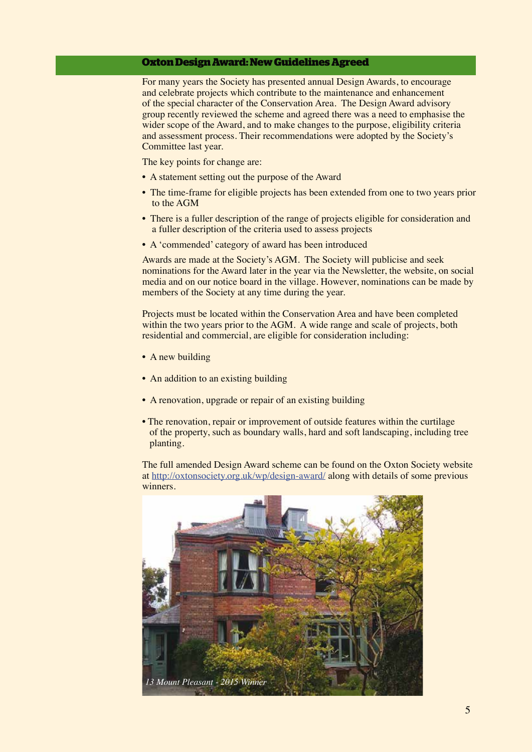# **Oxton Design Award: New Guidelines Agreed**

For many years the Society has presented annual Design Awards, to encourage and celebrate projects which contribute to the maintenance and enhancement of the special character of the Conservation Area. The Design Award advisory group recently reviewed the scheme and agreed there was a need to emphasise the wider scope of the Award, and to make changes to the purpose, eligibility criteria and assessment process. Their recommendations were adopted by the Society's Committee last year.

The key points for change are:

- A statement setting out the purpose of the Award
- The time-frame for eligible projects has been extended from one to two years prior to the AGM
- There is a fuller description of the range of projects eligible for consideration and a fuller description of the criteria used to assess projects
- A 'commended' category of award has been introduced

Awards are made at the Society's AGM. The Society will publicise and seek nominations for the Award later in the year via the Newsletter, the website, on social media and on our notice board in the village. However, nominations can be made by members of the Society at any time during the year.

Projects must be located within the Conservation Area and have been completed within the two years prior to the AGM. A wide range and scale of projects, both residential and commercial, are eligible for consideration including:

- A new building
- An addition to an existing building
- A renovation, upgrade or repair of an existing building
- The renovation, repair or improvement of outside features within the curtilage of the property, such as boundary walls, hard and soft landscaping, including tree planting.

The full amended Design Award scheme can be found on the Oxton Society website at http://oxtonsociety.org.uk/wp/design-award/ along with details of some previous winners.

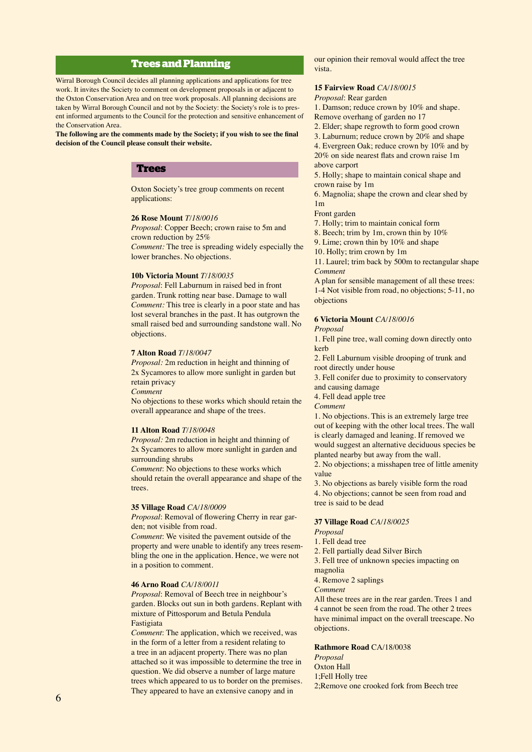# **Trees and Planning**

Wirral Borough Council decides all planning applications and applications for tree work. It invites the Society to comment on development proposals in or adjacent to the Oxton Conservation Area and on tree work proposals. All planning decisions are taken by Wirral Borough Council and not by the Society: the Society's role is to present informed arguments to the Council for the protection and sensitive enhancement of the Conservation Area.

**The following are the comments made by the Society; if you wish to see the final decision of the Council please consult their website.** 

# **Trees**

Oxton Society's tree group comments on recent applications:

#### **26 Rose Mount** *T/18/0016*

*Proposal*: Copper Beech; crown raise to 5m and crown reduction by 25%

*Comment:* The tree is spreading widely especially the lower branches. No objections.

#### **10b Victoria Mount** *T/18/0035*

*Proposal*: Fell Laburnum in raised bed in front garden. Trunk rotting near base. Damage to wall *Comment:* This tree is clearly in a poor state and has lost several branches in the past. It has outgrown the small raised bed and surrounding sandstone wall. No objections.

#### **7 Alton Road** *T/18/0047*

*Proposal:* 2m reduction in height and thinning of 2x Sycamores to allow more sunlight in garden but retain privacy

*Comment*

No objections to these works which should retain the overall appearance and shape of the trees.

#### **11 Alton Road** *T/18/0048*

*Proposal:* 2m reduction in height and thinning of 2x Sycamores to allow more sunlight in garden and surrounding shrubs

*Comment*: No objections to these works which should retain the overall appearance and shape of the trees.

#### **35 Village Road** *CA/18/0009*

*Proposal*: Removal of flowering Cherry in rear garden; not visible from road.

*Comment*: We visited the pavement outside of the property and were unable to identify any trees resembling the one in the application. Hence, we were not in a position to comment.

#### **46 Arno Road** *CA/18/0011*

*Proposal*: Removal of Beech tree in neighbour's garden. Blocks out sun in both gardens. Replant with mixture of Pittosporum and Betula Pendula Fastigiata

*Comment*: The application, which we received, was in the form of a letter from a resident relating to a tree in an adjacent property. There was no plan attached so it was impossible to determine the tree in question. We did observe a number of large mature trees which appeared to us to border on the premises. They appeared to have an extensive canopy and in

our opinion their removal would affect the tree vista.

#### **15 Fairview Road** *CA/18/0015*

*Proposal*: Rear garden

1. Damson; reduce crown by 10% and shape. Remove overhang of garden no 17

2. Elder; shape regrowth to form good crown

3. Laburnum; reduce crown by 20% and shape 4. Evergreen Oak; reduce crown by 10% and by 20% on side nearest flats and crown raise 1m

above carport

5. Holly; shape to maintain conical shape and crown raise by 1m

6. Magnolia; shape the crown and clear shed by  $1<sub>m</sub>$ 

Front garden

7. Holly; trim to maintain conical form

- 8. Beech; trim by 1m, crown thin by 10%
- 9. Lime; crown thin by 10% and shape

10. Holly; trim crown by 1m

11. Laurel; trim back by 500m to rectangular shape *Comment*

A plan for sensible management of all these trees: 1-4 Not visible from road, no objections; 5-11, no objections

#### **6 Victoria Mount** *CA/18/0016*

*Proposal*

1. Fell pine tree, wall coming down directly onto kerb

2. Fell Laburnum visible drooping of trunk and root directly under house

3. Fell conifer due to proximity to conservatory and causing damage

4. Fell dead apple tree

*Comment*

1. No objections. This is an extremely large tree out of keeping with the other local trees. The wall is clearly damaged and leaning. If removed we would suggest an alternative deciduous species be planted nearby but away from the wall.

2. No objections; a misshapen tree of little amenity value

3. No objections as barely visible form the road 4. No objections; cannot be seen from road and tree is said to be dead

#### **37 Village Road** *CA/18/0025*

*Proposal*

1. Fell dead tree

2. Fell partially dead Silver Birch

3. Fell tree of unknown species impacting on

magnolia

4. Remove 2 saplings

*Comment*

All these trees are in the rear garden. Trees 1 and 4 cannot be seen from the road. The other 2 trees have minimal impact on the overall treescape. No objections.

**Rathmore Road** CA/18/0038

*Proposal* Oxton Hall 1;Fell Holly tree 2;Remove one crooked fork from Beech tree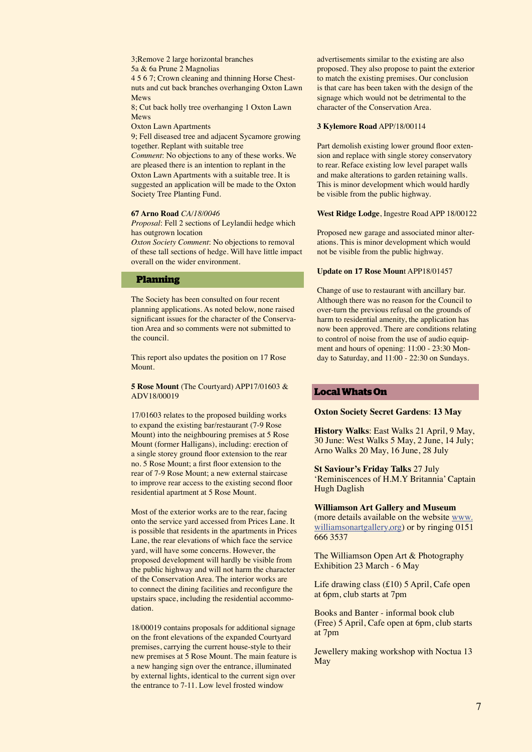3;Remove 2 large horizontal branches

5a & 6a Prune 2 Magnolias

4 5 6 7; Crown cleaning and thinning Horse Chestnuts and cut back branches overhanging Oxton Lawn Mews

8; Cut back holly tree overhanging 1 Oxton Lawn Mews

Oxton Lawn Apartments

9; Fell diseased tree and adjacent Sycamore growing together. Replant with suitable tree

*Comment*: No objections to any of these works. We are pleased there is an intention to replant in the Oxton Lawn Apartments with a suitable tree. It is suggested an application will be made to the Oxton Society Tree Planting Fund.

#### **67 Arno Road** *CA/18/0046*

*Proposal*: Fell 2 sections of Leylandii hedge which has outgrown location

*Oxton Society Comment*: No objections to removal of these tall sections of hedge. Will have little impact overall on the wider environment.

#### **Planning**

The Society has been consulted on four recent planning applications. As noted below, none raised significant issues for the character of the Conservation Area and so comments were not submitted to the council.

This report also updates the position on 17 Rose Mount.

**5 Rose Mount** (The Courtyard) APP17/01603 & ADV18/00019

17/01603 relates to the proposed building works to expand the existing bar/restaurant (7-9 Rose Mount) into the neighbouring premises at 5 Rose Mount (former Halligans), including: erection of a single storey ground floor extension to the rear no. 5 Rose Mount; a first floor extension to the rear of 7-9 Rose Mount; a new external staircase to improve rear access to the existing second floor residential apartment at 5 Rose Mount.

Most of the exterior works are to the rear, facing onto the service yard accessed from Prices Lane. It is possible that residents in the apartments in Prices Lane, the rear elevations of which face the service yard, will have some concerns. However, the proposed development will hardly be visible from the public highway and will not harm the character of the Conservation Area. The interior works are to connect the dining facilities and reconfigure the upstairs space, including the residential accommodation.

18/00019 contains proposals for additional signage on the front elevations of the expanded Courtyard premises, carrying the current house-style to their new premises at 5 Rose Mount. The main feature is a new hanging sign over the entrance, illuminated by external lights, identical to the current sign over the entrance to 7-11. Low level frosted window

advertisements similar to the existing are also proposed. They also propose to paint the exterior to match the existing premises. Our conclusion is that care has been taken with the design of the signage which would not be detrimental to the character of the Conservation Area.

#### **3 Kylemore Road** APP/18/00114

Part demolish existing lower ground floor extension and replace with single storey conservatory to rear. Reface existing low level parapet walls and make alterations to garden retaining walls. This is minor development which would hardly be visible from the public highway.

#### **West Ridge Lodge**, Ingestre Road APP 18/00122

Proposed new garage and associated minor alterations. This is minor development which would not be visible from the public highway.

#### **Update on 17 Rose Moun**t APP18/01457

Change of use to restaurant with ancillary bar. Although there was no reason for the Council to over-turn the previous refusal on the grounds of harm to residential amenity, the application has now been approved. There are conditions relating to control of noise from the use of audio equipment and hours of opening: 11:00 - 23:30 Monday to Saturday, and 11:00 - 22:30 on Sundays.

# **Local Whats On**

#### **Oxton Society Secret Gardens**: **13 May**

**History Walks**: East Walks 21 April, 9 May, 30 June: West Walks 5 May, 2 June, 14 July; Arno Walks 20 May, 16 June, 28 July

**St Saviour's Friday Talks** 27 July 'Reminiscences of H.M.Y Britannia' Captain Hugh Daglish

**Williamson Art Gallery and Museum**  (more details available on the website www. williamsonartgallery, org) or by ringing 0151 666 3537

The Williamson Open Art & Photography Exhibition 23 March - 6 May

Life drawing class (£10) 5 April, Cafe open at 6pm, club starts at 7pm

Books and Banter - informal book club (Free) 5 April, Cafe open at 6pm, club starts at 7pm

Jewellery making workshop with Noctua 13 May